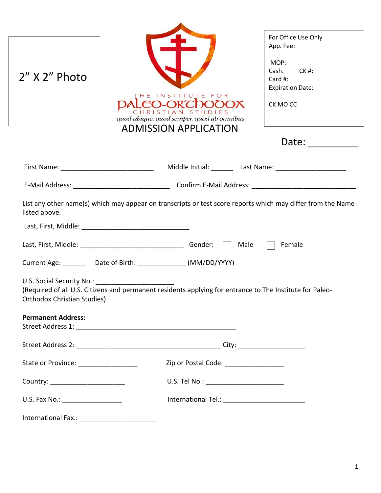| $2''$ X $2''$ Photo                                             | INSTITUTE<br>FOR<br><b>EQ-ORTDOOOX</b><br>STIAN STUDIES<br>quod ubique, quod semper, quod ab omnibus<br><b>ADMISSION APPLICATION</b>                                             | For Office Use Only<br>App. Fee:<br>MOP:<br>Cash.<br>$CK$ #:<br>Card #:<br><b>Expiration Date:</b><br>CK MO CC<br>Date: $\frac{1}{\sqrt{1-\frac{1}{2}}\cdot\frac{1}{\sqrt{1-\frac{1}{2}}\cdot\frac{1}{2}}\cdot\frac{1}{\sqrt{1-\frac{1}{2}}\cdot\frac{1}{2}}}}$ |
|-----------------------------------------------------------------|----------------------------------------------------------------------------------------------------------------------------------------------------------------------------------|-----------------------------------------------------------------------------------------------------------------------------------------------------------------------------------------------------------------------------------------------------------------|
|                                                                 | First Name: The Contract Middle Initial: Last Name: Last Name:                                                                                                                   |                                                                                                                                                                                                                                                                 |
|                                                                 |                                                                                                                                                                                  |                                                                                                                                                                                                                                                                 |
| listed above.                                                   |                                                                                                                                                                                  | Female                                                                                                                                                                                                                                                          |
| U.S. Social Security No.:<br><b>Orthodox Christian Studies)</b> | Current Age: __________ Date of Birth: ________________ (MM/DD/YYYY)<br>(Required of all U.S. Citizens and permanent residents applying for entrance to The Institute for Paleo- |                                                                                                                                                                                                                                                                 |
| <b>Permanent Address:</b>                                       |                                                                                                                                                                                  |                                                                                                                                                                                                                                                                 |
|                                                                 |                                                                                                                                                                                  |                                                                                                                                                                                                                                                                 |
| State or Province: ___________________                          | Zip or Postal Code: _________________                                                                                                                                            |                                                                                                                                                                                                                                                                 |
| Country: ________________________                               | U.S. Tel No.: ___________________________                                                                                                                                        |                                                                                                                                                                                                                                                                 |
| U.S. Fax No.: ____________________                              | International Tel.: _____________________________                                                                                                                                |                                                                                                                                                                                                                                                                 |
|                                                                 | International Fax.: ____________________________                                                                                                                                 |                                                                                                                                                                                                                                                                 |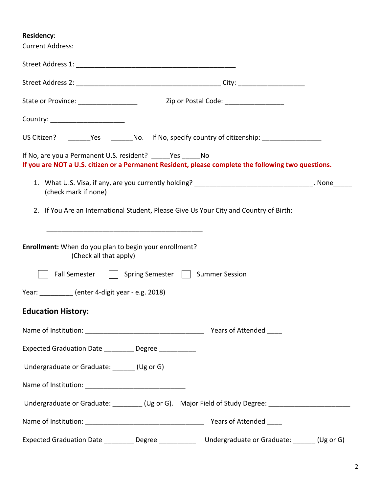## **Residency**:

| <b>Current Address:</b>                                                          |                                                                                                     |  |
|----------------------------------------------------------------------------------|-----------------------------------------------------------------------------------------------------|--|
|                                                                                  |                                                                                                     |  |
|                                                                                  |                                                                                                     |  |
|                                                                                  |                                                                                                     |  |
| Country: ________________________                                                |                                                                                                     |  |
|                                                                                  |                                                                                                     |  |
| If No, are you a Permanent U.S. resident? _____Yes _____No                       | If you are NOT a U.S. citizen or a Permanent Resident, please complete the following two questions. |  |
| (check mark if none)                                                             | 1. What U.S. Visa, if any, are you currently holding? __________________________________. None____  |  |
|                                                                                  | 2. If You Are an International Student, Please Give Us Your City and Country of Birth:              |  |
| Enrollment: When do you plan to begin your enrollment?<br>(Check all that apply) |                                                                                                     |  |
| <b>Fall Semester</b>                                                             | Spring Semester   Summer Session                                                                    |  |
| Year: __________ (enter 4-digit year - e.g. 2018)                                |                                                                                                     |  |
| <b>Education History:</b>                                                        |                                                                                                     |  |
|                                                                                  | Years of Attended                                                                                   |  |
| Expected Graduation Date _________ Degree __________                             |                                                                                                     |  |
| Undergraduate or Graduate: _______ (Ug or G)                                     |                                                                                                     |  |
|                                                                                  |                                                                                                     |  |
|                                                                                  | Undergraduate or Graduate: ________ (Ug or G). Major Field of Study Degree: _______________________ |  |
|                                                                                  |                                                                                                     |  |
|                                                                                  | Expected Graduation Date _________ Degree _____________ Undergraduate or Graduate: ______ (Ug or G) |  |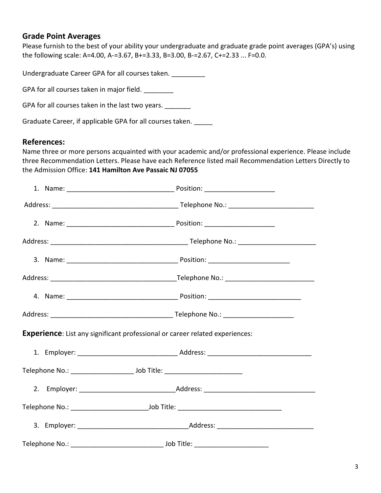### **Grade Point Averages**

Please furnish to the best of your ability your undergraduate and graduate grade point averages (GPA's) using the following scale: A=4.00, A-=3.67, B+=3.33, B=3.00, B-=2.67, C+=2.33 ... F=0.0.

Undergraduate Career GPA for all courses taken. \_\_\_\_\_\_\_\_\_

GPA for all courses taken in major field. \_\_\_\_\_\_\_\_

GPA for all courses taken in the last two years. \_\_\_\_\_\_\_

Graduate Career, if applicable GPA for all courses taken. \_\_\_\_\_

### **References:**

Name three or more persons acquainted with your academic and/or professional experience. Please include three Recommendation Letters. Please have each Reference listed mail Recommendation Letters Directly to the Admission Office: **141 Hamilton Ave Passaic NJ 07055**

|  | <b>Experience:</b> List any significant professional or career related experiences: |  |
|--|-------------------------------------------------------------------------------------|--|
|  |                                                                                     |  |
|  |                                                                                     |  |
|  |                                                                                     |  |
|  |                                                                                     |  |
|  |                                                                                     |  |
|  |                                                                                     |  |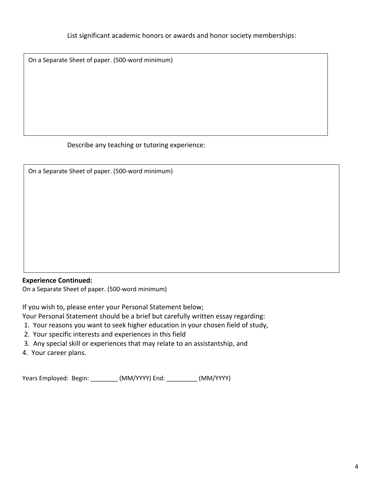On a Separate Sheet of paper. (500-word minimum)

Describe any teaching or tutoring experience:

| On a Separate Sheet of paper. (500-word minimum) |  |  |  |
|--------------------------------------------------|--|--|--|
|                                                  |  |  |  |
|                                                  |  |  |  |
|                                                  |  |  |  |
|                                                  |  |  |  |
|                                                  |  |  |  |
|                                                  |  |  |  |
|                                                  |  |  |  |

#### **Experience Continued:**

On a Separate Sheet of paper. (500-word minimum)

If you wish to, please enter your Personal Statement below;

Your Personal Statement should be a brief but carefully written essay regarding:

- 1. Your reasons you want to seek higher education in your chosen field of study,
- 2. Your specific interests and experiences in this field
- 3. Any special skill or experiences that may relate to an assistantship, and
- 4. Your career plans.

Years Employed: Begin: \_\_\_\_\_\_\_\_ (MM/YYYY) End: \_\_\_\_\_\_\_\_\_ (MM/YYYY)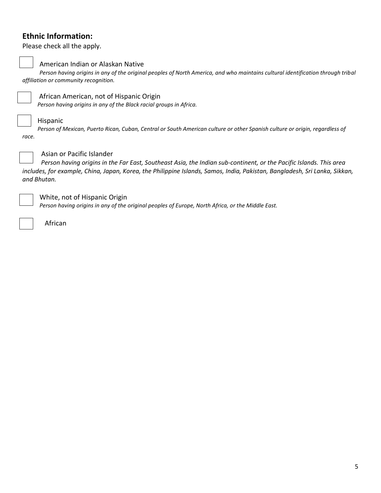## **Ethnic Information:**

Please check all the apply.

r

American Indian or Alaskan Native

*Person having origins in any of the original peoples of North America, and who maintains cultural identification through tribal affiliation or community recognition.*



African American, not of Hispanic Origin

*Person having origins in any of the Black racial groups in Africa.*

#### Hispanic

*Person of Mexican, Puerto Rican, Cuban, Central or South American culture or other Spanish culture or origin, regardless of race.*



#### Asian or Pacific Islander

*Person having origins in the Far East, Southeast Asia, the Indian sub-continent, or the Pacific Islands. This area includes, for example, China, Japan, Korea, the Philippine Islands, Samos, India, Pakistan, Bangladesh, Sri Lanka, Sikkan, and Bhutan.*



White, not of Hispanic Origin

*Person having origins in any of the original peoples of Europe, North Africa, or the Middle East.*

African